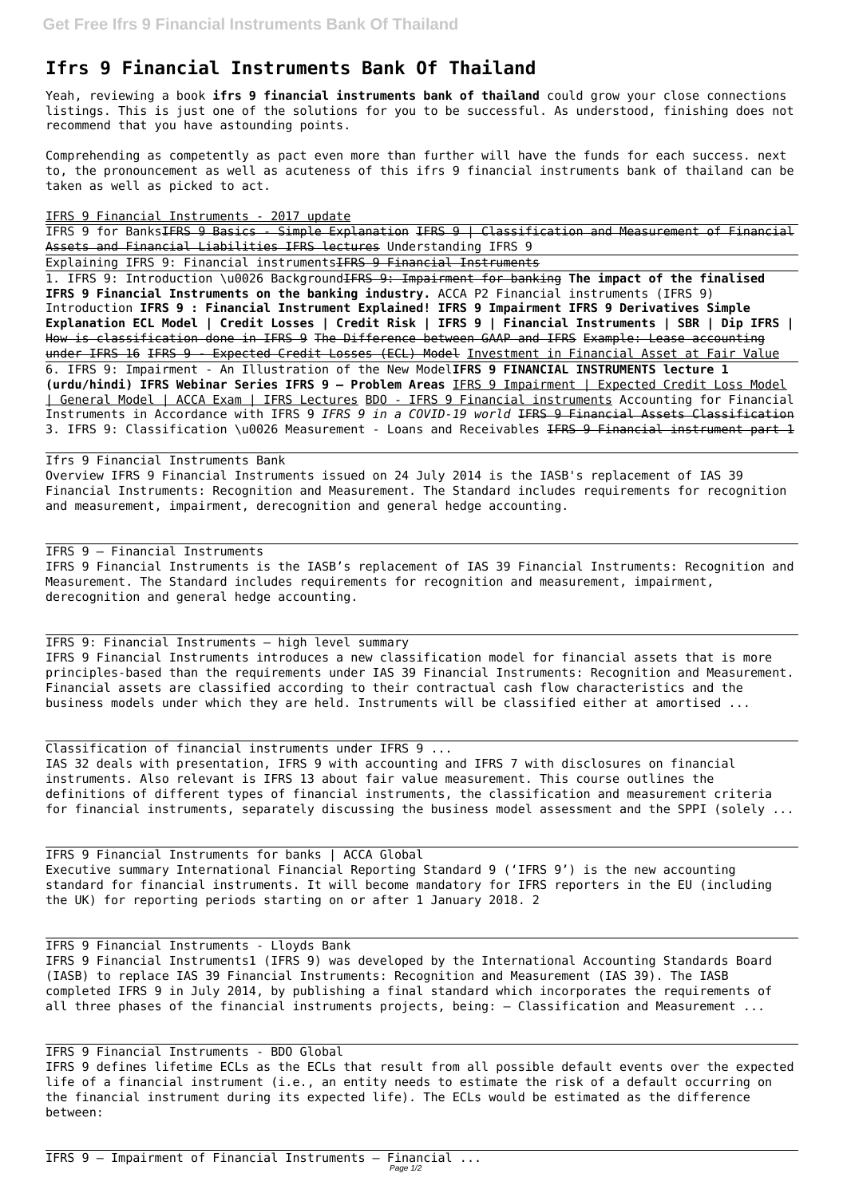## **Ifrs 9 Financial Instruments Bank Of Thailand**

Yeah, reviewing a book **ifrs 9 financial instruments bank of thailand** could grow your close connections listings. This is just one of the solutions for you to be successful. As understood, finishing does not recommend that you have astounding points.

1. IFRS 9: Introduction \u0026 BackgroundIFRS 9: Impairment for banking **The impact of the finalised IFRS 9 Financial Instruments on the banking industry.** ACCA P2 Financial instruments (IFRS 9) Introduction **IFRS 9 : Financial Instrument Explained! IFRS 9 Impairment IFRS 9 Derivatives Simple Explanation ECL Model | Credit Losses | Credit Risk | IFRS 9 | Financial Instruments | SBR | Dip IFRS |** How is classification done in IFRS 9 The Difference between GAAP and IFRS Example: Lease accounting under IFRS 16 IFRS 9 - Expected Credit Losses (ECL) Model Investment in Financial Asset at Fair Value 6. IFRS 9: Impairment - An Illustration of the New Model**IFRS 9 FINANCIAL INSTRUMENTS lecture 1 (urdu/hindi) IFRS Webinar Series IFRS 9 – Problem Areas** IFRS 9 Impairment | Expected Credit Loss Model | General Model | ACCA Exam | IFRS Lectures BDO - IFRS 9 Financial instruments Accounting for Financial Instruments in Accordance with IFRS 9 *IFRS 9 in a COVID-19 world* IFRS 9 Financial Assets Classification 3. IFRS 9: Classification \u0026 Measurement - Loans and Receivables IFRS 9 Financial instrument part 1

Comprehending as competently as pact even more than further will have the funds for each success. next to, the pronouncement as well as acuteness of this ifrs 9 financial instruments bank of thailand can be taken as well as picked to act.

IFRS 9 Financial Instruments - 2017 update

IFRS 9 for BanksIFRS 9 Basics - Simple Explanation IFRS 9 | Classification and Measurement of Financial Assets and Financial Liabilities IFRS lectures Understanding IFRS 9

Explaining IFRS 9: Financial instrumentsIFRS 9 Financial Instruments

## Ifrs 9 Financial Instruments Bank

Overview IFRS 9 Financial Instruments issued on 24 July 2014 is the IASB's replacement of IAS 39 Financial Instruments: Recognition and Measurement. The Standard includes requirements for recognition and measurement, impairment, derecognition and general hedge accounting.

## IFRS 9 — Financial Instruments

IFRS 9 Financial Instruments is the IASB's replacement of IAS 39 Financial Instruments: Recognition and Measurement. The Standard includes requirements for recognition and measurement, impairment, derecognition and general hedge accounting.

IFRS 9: Financial Instruments – high level summary IFRS 9 Financial Instruments introduces a new classification model for financial assets that is more principles-based than the requirements under IAS 39 Financial Instruments: Recognition and Measurement. Financial assets are classified according to their contractual cash flow characteristics and the business models under which they are held. Instruments will be classified either at amortised ...

Classification of financial instruments under IFRS 9 ... IAS 32 deals with presentation, IFRS 9 with accounting and IFRS 7 with disclosures on financial instruments. Also relevant is IFRS 13 about fair value measurement. This course outlines the definitions of different types of financial instruments, the classification and measurement criteria for financial instruments, separately discussing the business model assessment and the SPPI (solely ...

IFRS 9 Financial Instruments for banks | ACCA Global Executive summary International Financial Reporting Standard 9 ('IFRS 9') is the new accounting standard for financial instruments. It will become mandatory for IFRS reporters in the EU (including the UK) for reporting periods starting on or after 1 January 2018. 2

IFRS 9 Financial Instruments - Lloyds Bank IFRS 9 Financial Instruments1 (IFRS 9) was developed by the International Accounting Standards Board (IASB) to replace IAS 39 Financial Instruments: Recognition and Measurement (IAS 39). The IASB completed IFRS 9 in July 2014, by publishing a final standard which incorporates the requirements of all three phases of the financial instruments projects, being: – Classification and Measurement ...

IFRS 9 Financial Instruments - BDO Global

IFRS 9 defines lifetime ECLs as the ECLs that result from all possible default events over the expected life of a financial instrument (i.e., an entity needs to estimate the risk of a default occurring on the financial instrument during its expected life). The ECLs would be estimated as the difference between: